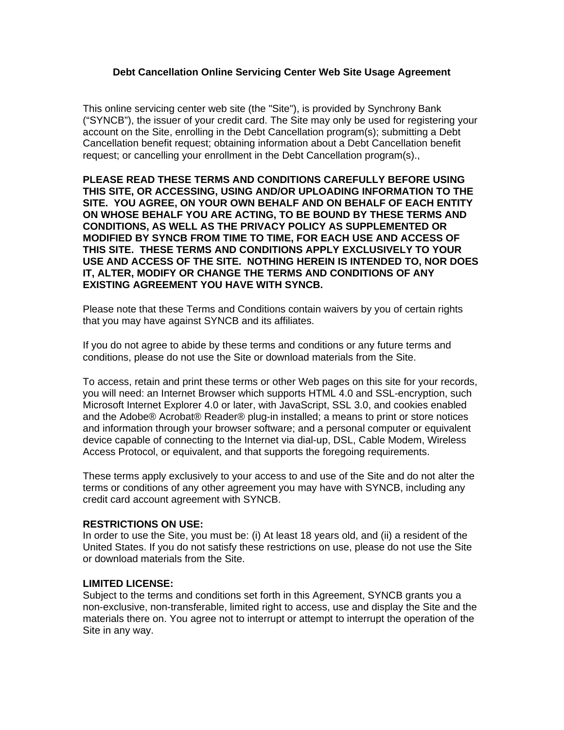## **Debt Cancellation Online Servicing Center Web Site Usage Agreement**

This online servicing center web site (the "Site"), is provided by Synchrony Bank ("SYNCB"), the issuer of your credit card. The Site may only be used for registering your account on the Site, enrolling in the Debt Cancellation program(s); submitting a Debt Cancellation benefit request; obtaining information about a Debt Cancellation benefit request; or cancelling your enrollment in the Debt Cancellation program(s).,

**PLEASE READ THESE TERMS AND CONDITIONS CAREFULLY BEFORE USING THIS SITE, OR ACCESSING, USING AND/OR UPLOADING INFORMATION TO THE SITE. YOU AGREE, ON YOUR OWN BEHALF AND ON BEHALF OF EACH ENTITY ON WHOSE BEHALF YOU ARE ACTING, TO BE BOUND BY THESE TERMS AND CONDITIONS, AS WELL AS THE PRIVACY POLICY AS SUPPLEMENTED OR MODIFIED BY SYNCB FROM TIME TO TIME, FOR EACH USE AND ACCESS OF THIS SITE. THESE TERMS AND CONDITIONS APPLY EXCLUSIVELY TO YOUR USE AND ACCESS OF THE SITE. NOTHING HEREIN IS INTENDED TO, NOR DOES IT, ALTER, MODIFY OR CHANGE THE TERMS AND CONDITIONS OF ANY EXISTING AGREEMENT YOU HAVE WITH SYNCB.**

Please note that these Terms and Conditions contain waivers by you of certain rights that you may have against SYNCB and its affiliates.

If you do not agree to abide by these terms and conditions or any future terms and conditions, please do not use the Site or download materials from the Site.

To access, retain and print these terms or other Web pages on this site for your records, you will need: an Internet Browser which supports HTML 4.0 and SSL-encryption, such Microsoft Internet Explorer 4.0 or later, with JavaScript, SSL 3.0, and cookies enabled and the Adobe® Acrobat® Reader® plug-in installed; a means to print or store notices and information through your browser software; and a personal computer or equivalent device capable of connecting to the Internet via dial-up, DSL, Cable Modem, Wireless Access Protocol, or equivalent, and that supports the foregoing requirements.

These terms apply exclusively to your access to and use of the Site and do not alter the terms or conditions of any other agreement you may have with SYNCB, including any credit card account agreement with SYNCB.

### **RESTRICTIONS ON USE:**

In order to use the Site, you must be: (i) At least 18 years old, and (ii) a resident of the United States. If you do not satisfy these restrictions on use, please do not use the Site or download materials from the Site.

### **LIMITED LICENSE:**

Subject to the terms and conditions set forth in this Agreement, SYNCB grants you a non-exclusive, non-transferable, limited right to access, use and display the Site and the materials there on. You agree not to interrupt or attempt to interrupt the operation of the Site in any way.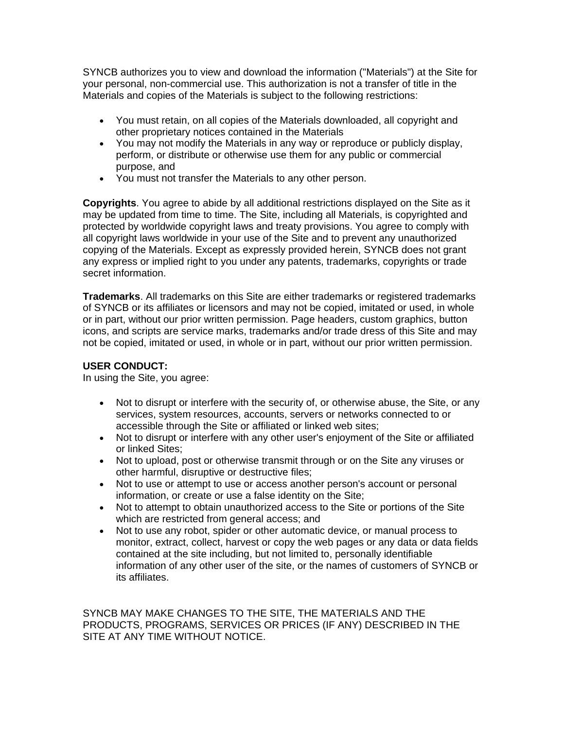SYNCB authorizes you to view and download the information ("Materials") at the Site for your personal, non-commercial use. This authorization is not a transfer of title in the Materials and copies of the Materials is subject to the following restrictions:

- You must retain, on all copies of the Materials downloaded, all copyright and other proprietary notices contained in the Materials
- You may not modify the Materials in any way or reproduce or publicly display, perform, or distribute or otherwise use them for any public or commercial purpose, and
- You must not transfer the Materials to any other person.

**Copyrights**. You agree to abide by all additional restrictions displayed on the Site as it may be updated from time to time. The Site, including all Materials, is copyrighted and protected by worldwide copyright laws and treaty provisions. You agree to comply with all copyright laws worldwide in your use of the Site and to prevent any unauthorized copying of the Materials. Except as expressly provided herein, SYNCB does not grant any express or implied right to you under any patents, trademarks, copyrights or trade secret information.

**Trademarks**. All trademarks on this Site are either trademarks or registered trademarks of SYNCB or its affiliates or licensors and may not be copied, imitated or used, in whole or in part, without our prior written permission. Page headers, custom graphics, button icons, and scripts are service marks, trademarks and/or trade dress of this Site and may not be copied, imitated or used, in whole or in part, without our prior written permission.

# **USER CONDUCT:**

In using the Site, you agree:

- Not to disrupt or interfere with the security of, or otherwise abuse, the Site, or any services, system resources, accounts, servers or networks connected to or accessible through the Site or affiliated or linked web sites;
- Not to disrupt or interfere with any other user's enjoyment of the Site or affiliated or linked Sites;
- Not to upload, post or otherwise transmit through or on the Site any viruses or other harmful, disruptive or destructive files;
- Not to use or attempt to use or access another person's account or personal information, or create or use a false identity on the Site;
- Not to attempt to obtain unauthorized access to the Site or portions of the Site which are restricted from general access; and
- Not to use any robot, spider or other automatic device, or manual process to monitor, extract, collect, harvest or copy the web pages or any data or data fields contained at the site including, but not limited to, personally identifiable information of any other user of the site, or the names of customers of SYNCB or its affiliates.

SYNCB MAY MAKE CHANGES TO THE SITE, THE MATERIALS AND THE PRODUCTS, PROGRAMS, SERVICES OR PRICES (IF ANY) DESCRIBED IN THE SITE AT ANY TIME WITHOUT NOTICE.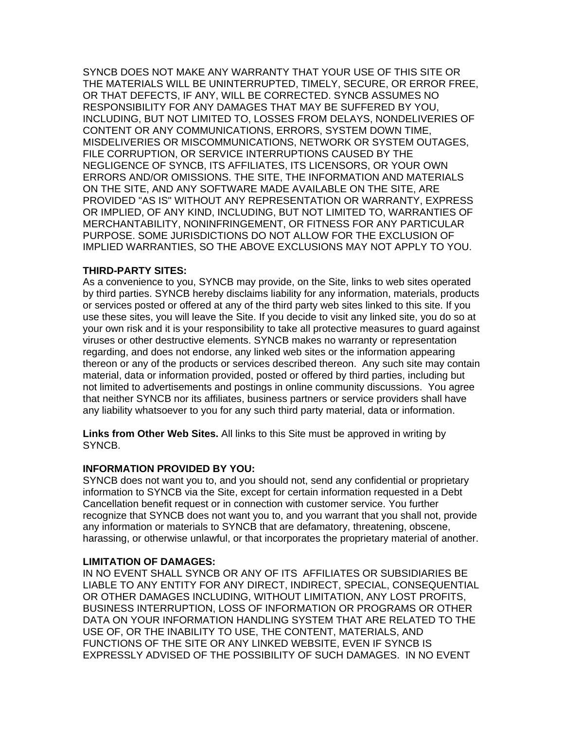SYNCB DOES NOT MAKE ANY WARRANTY THAT YOUR USE OF THIS SITE OR THE MATERIALS WILL BE UNINTERRUPTED, TIMELY, SECURE, OR ERROR FREE, OR THAT DEFECTS, IF ANY, WILL BE CORRECTED. SYNCB ASSUMES NO RESPONSIBILITY FOR ANY DAMAGES THAT MAY BE SUFFERED BY YOU, INCLUDING, BUT NOT LIMITED TO, LOSSES FROM DELAYS, NONDELIVERIES OF CONTENT OR ANY COMMUNICATIONS, ERRORS, SYSTEM DOWN TIME, MISDELIVERIES OR MISCOMMUNICATIONS, NETWORK OR SYSTEM OUTAGES, FILE CORRUPTION, OR SERVICE INTERRUPTIONS CAUSED BY THE NEGLIGENCE OF SYNCB, ITS AFFILIATES, ITS LICENSORS, OR YOUR OWN ERRORS AND/OR OMISSIONS. THE SITE, THE INFORMATION AND MATERIALS ON THE SITE, AND ANY SOFTWARE MADE AVAILABLE ON THE SITE, ARE PROVIDED "AS IS" WITHOUT ANY REPRESENTATION OR WARRANTY, EXPRESS OR IMPLIED, OF ANY KIND, INCLUDING, BUT NOT LIMITED TO, WARRANTIES OF MERCHANTABILITY, NONINFRINGEMENT, OR FITNESS FOR ANY PARTICULAR PURPOSE. SOME JURISDICTIONS DO NOT ALLOW FOR THE EXCLUSION OF IMPLIED WARRANTIES, SO THE ABOVE EXCLUSIONS MAY NOT APPLY TO YOU.

### **THIRD-PARTY SITES:**

As a convenience to you, SYNCB may provide, on the Site, links to web sites operated by third parties. SYNCB hereby disclaims liability for any information, materials, products or services posted or offered at any of the third party web sites linked to this site. If you use these sites, you will leave the Site. If you decide to visit any linked site, you do so at your own risk and it is your responsibility to take all protective measures to guard against viruses or other destructive elements. SYNCB makes no warranty or representation regarding, and does not endorse, any linked web sites or the information appearing thereon or any of the products or services described thereon. Any such site may contain material, data or information provided, posted or offered by third parties, including but not limited to advertisements and postings in online community discussions. You agree that neither SYNCB nor its affiliates, business partners or service providers shall have any liability whatsoever to you for any such third party material, data or information.

**Links from Other Web Sites.** All links to this Site must be approved in writing by SYNCB.

### **INFORMATION PROVIDED BY YOU:**

SYNCB does not want you to, and you should not, send any confidential or proprietary information to SYNCB via the Site, except for certain information requested in a Debt Cancellation benefit request or in connection with customer service. You further recognize that SYNCB does not want you to, and you warrant that you shall not, provide any information or materials to SYNCB that are defamatory, threatening, obscene, harassing, or otherwise unlawful, or that incorporates the proprietary material of another.

#### **LIMITATION OF DAMAGES:**

IN NO EVENT SHALL SYNCB OR ANY OF ITS AFFILIATES OR SUBSIDIARIES BE LIABLE TO ANY ENTITY FOR ANY DIRECT, INDIRECT, SPECIAL, CONSEQUENTIAL OR OTHER DAMAGES INCLUDING, WITHOUT LIMITATION, ANY LOST PROFITS, BUSINESS INTERRUPTION, LOSS OF INFORMATION OR PROGRAMS OR OTHER DATA ON YOUR INFORMATION HANDLING SYSTEM THAT ARE RELATED TO THE USE OF, OR THE INABILITY TO USE, THE CONTENT, MATERIALS, AND FUNCTIONS OF THE SITE OR ANY LINKED WEBSITE, EVEN IF SYNCB IS EXPRESSLY ADVISED OF THE POSSIBILITY OF SUCH DAMAGES. IN NO EVENT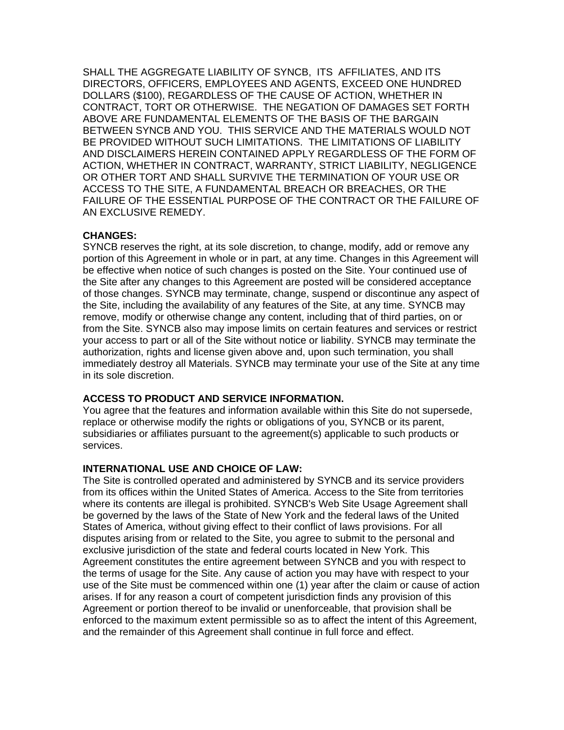SHALL THE AGGREGATE LIABILITY OF SYNCB, ITS AFFILIATES, AND ITS DIRECTORS, OFFICERS, EMPLOYEES AND AGENTS, EXCEED ONE HUNDRED DOLLARS (\$100), REGARDLESS OF THE CAUSE OF ACTION, WHETHER IN CONTRACT, TORT OR OTHERWISE. THE NEGATION OF DAMAGES SET FORTH ABOVE ARE FUNDAMENTAL ELEMENTS OF THE BASIS OF THE BARGAIN BETWEEN SYNCB AND YOU. THIS SERVICE AND THE MATERIALS WOULD NOT BE PROVIDED WITHOUT SUCH LIMITATIONS. THE LIMITATIONS OF LIABILITY AND DISCLAIMERS HEREIN CONTAINED APPLY REGARDLESS OF THE FORM OF ACTION, WHETHER IN CONTRACT, WARRANTY, STRICT LIABILITY, NEGLIGENCE OR OTHER TORT AND SHALL SURVIVE THE TERMINATION OF YOUR USE OR ACCESS TO THE SITE, A FUNDAMENTAL BREACH OR BREACHES, OR THE FAILURE OF THE ESSENTIAL PURPOSE OF THE CONTRACT OR THE FAILURE OF AN EXCLUSIVE REMEDY.

### **CHANGES:**

SYNCB reserves the right, at its sole discretion, to change, modify, add or remove any portion of this Agreement in whole or in part, at any time. Changes in this Agreement will be effective when notice of such changes is posted on the Site. Your continued use of the Site after any changes to this Agreement are posted will be considered acceptance of those changes. SYNCB may terminate, change, suspend or discontinue any aspect of the Site, including the availability of any features of the Site, at any time. SYNCB may remove, modify or otherwise change any content, including that of third parties, on or from the Site. SYNCB also may impose limits on certain features and services or restrict your access to part or all of the Site without notice or liability. SYNCB may terminate the authorization, rights and license given above and, upon such termination, you shall immediately destroy all Materials. SYNCB may terminate your use of the Site at any time in its sole discretion.

### **ACCESS TO PRODUCT AND SERVICE INFORMATION.**

You agree that the features and information available within this Site do not supersede, replace or otherwise modify the rights or obligations of you, SYNCB or its parent, subsidiaries or affiliates pursuant to the agreement(s) applicable to such products or services.

### **INTERNATIONAL USE AND CHOICE OF LAW:**

The Site is controlled operated and administered by SYNCB and its service providers from its offices within the United States of America. Access to the Site from territories where its contents are illegal is prohibited. SYNCB's Web Site Usage Agreement shall be governed by the laws of the State of New York and the federal laws of the United States of America, without giving effect to their conflict of laws provisions. For all disputes arising from or related to the Site, you agree to submit to the personal and exclusive jurisdiction of the state and federal courts located in New York. This Agreement constitutes the entire agreement between SYNCB and you with respect to the terms of usage for the Site. Any cause of action you may have with respect to your use of the Site must be commenced within one (1) year after the claim or cause of action arises. If for any reason a court of competent jurisdiction finds any provision of this Agreement or portion thereof to be invalid or unenforceable, that provision shall be enforced to the maximum extent permissible so as to affect the intent of this Agreement, and the remainder of this Agreement shall continue in full force and effect.